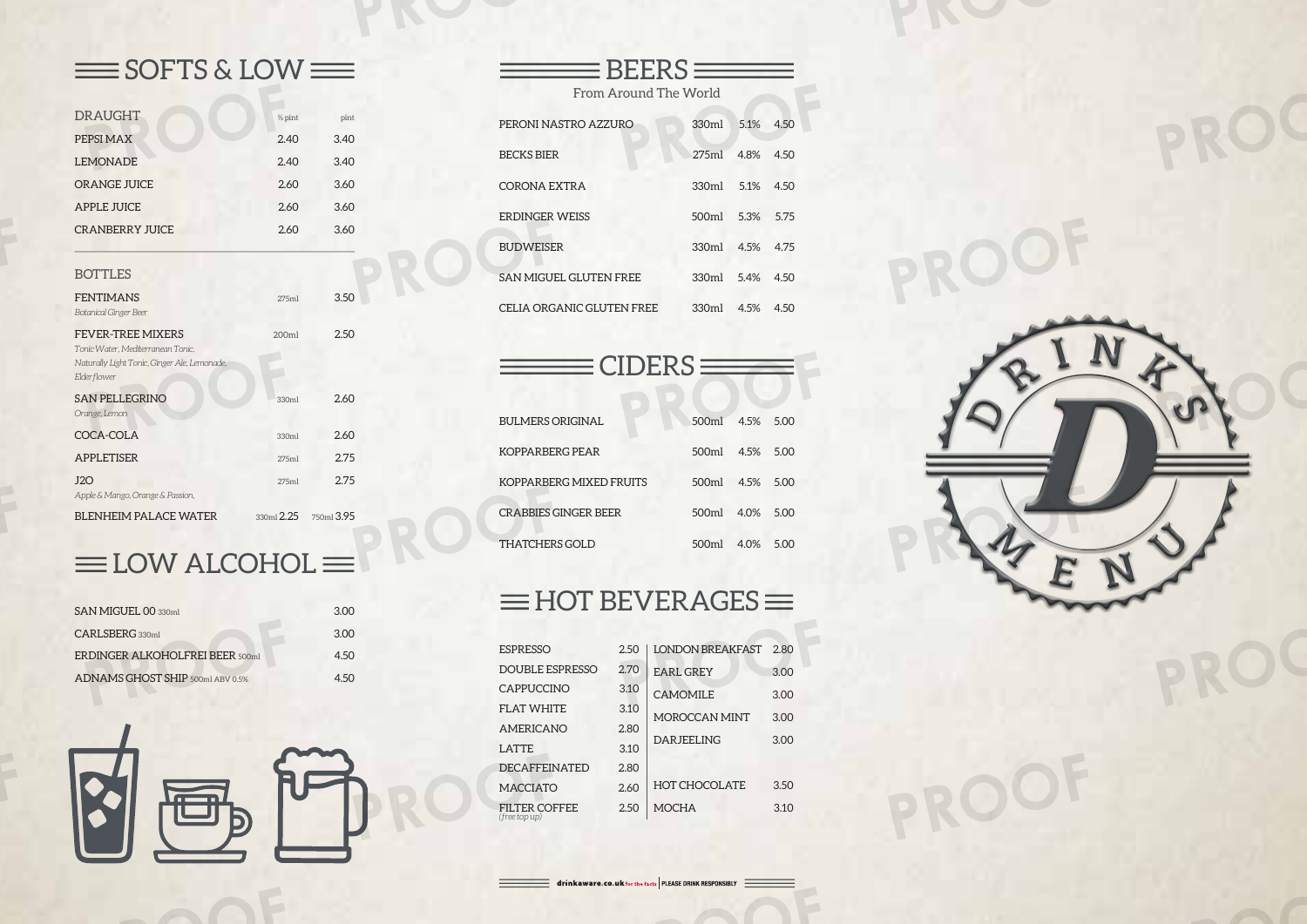## $\equiv$  SOFTS & LOW $\equiv$

| <b>DRAUGHT</b>                                                                    | $\frac{1}{2}$ pint | pint       |
|-----------------------------------------------------------------------------------|--------------------|------------|
| PEPSI MAX                                                                         | 2.40               | 3.40       |
| <b>LEMONADE</b>                                                                   | 2.40               | 3.40       |
| <b>ORANGE JUICE</b>                                                               | 2.60               | 3.60       |
| <b>APPLE JUICE</b>                                                                | 2.60               | 3.60       |
| <b>CRANBERRY JUICE</b>                                                            | 2.60               | 3.60       |
|                                                                                   |                    |            |
| <b>BOTTLES</b>                                                                    |                    |            |
| <b>FENTIMANS</b>                                                                  | 275ml              | 3.50       |
| <b>Botanical Ginger Beer</b>                                                      |                    |            |
| FEVER-TREE MIXERS                                                                 | 200ml              | 2.50       |
| Tonic Water, Mediterranean Tonic,<br>Naturally Light Tonic, Ginger Ale, Lemonade, |                    |            |
| Elderflower                                                                       |                    |            |
| <b>SAN PELLEGRINO</b>                                                             | 330ml              | 2.60       |
| Orange, Lemon                                                                     |                    |            |
| COCA-COLA                                                                         | 330ml              | 2.60       |
| <b>APPLETISER</b>                                                                 | 275ml              | 2.75       |
| J2O                                                                               | 275ml              | 2.75       |
| Apple & Mango, Orange & Passion,                                                  |                    |            |
| <b>BLENHEIM PALACE WATER</b>                                                      | $330m1$ $2.25$     | 750ml 3.95 |

## $\equiv$ LOW ALCOHOL $\equiv$

| <b>SAN MIGUEL 00 330ml</b>             | 3.00 |
|----------------------------------------|------|
| CARLSBERG 330ml                        | 3.00 |
| <b>ERDINGER ALKOHOLFREI BEER 500ml</b> | 4.50 |
| ADNAMS GHOST SHIP 500ml ABV 0.5%       | 4.50 |



| From Around The World     |               |              |      |  |  |
|---------------------------|---------------|--------------|------|--|--|
| PERONI NASTRO AZZURO      | 330ml         | $5.1\%$ 4.50 |      |  |  |
| <b>BECKS BIER</b>         | 275mL         | 4.8%         | 4.50 |  |  |
| CORONA EXTRA              | 330ml         | 5.1%         | 4.50 |  |  |
| ERDINGER WEISS            | 500ml 5.3%    |              | 5.75 |  |  |
| <b>BUDWEISER</b>          | 330ml 4.5%    |              | 4.75 |  |  |
| SAN MIGUEL GLUTEN FREE    | $330m$ $5.4%$ |              | 4.50 |  |  |
| CELIA ORGANIC GLUTEN FREE | 330ml         | 4.5%         | 4.50 |  |  |

 $\exists$  BEERS  $\equiv$ 

 $\equiv$  CIDERS  $\equiv$ 

| <b>BULMERS ORIGINAL</b> | 500ml 4.5%     |      | 5.00  |
|-------------------------|----------------|------|-------|
| KOPPARBERG PEAR         | 500ml 4.5%     |      | 5.00  |
| KOPPARBERG MIXED FRUITS | 500ml          | 4.5% | 5.00  |
| CRABBIES GINGER BEER    | $500ml$ $4.0%$ |      | 5 Q Q |
| THATCHERS GOLD          | 500ml          | 4.0% | 5(10) |

## $\equiv$ HOT BEVERAGES $\equiv$

| <b>ESPRESSO</b>                | 2.50 | <b>LONDON BREAKFAST</b> | 2.80 |
|--------------------------------|------|-------------------------|------|
| <b>DOUBLE ESPRESSO</b>         | 2.70 | <b>EARL GREY</b>        | 3.00 |
| CAPPUCCINO                     | 3.10 | <b>CAMOMILE</b>         | 3.00 |
| FLAT WHITE                     | 3.10 | MOROCCAN MINT           | 3.00 |
| <b>AMERICANO</b>               | 2.80 |                         |      |
| LATTE                          | 3.10 | <b>DARJEELING</b>       | 3.00 |
| <b>DECAFFEINATED</b>           | 2.80 |                         |      |
| <b>MACCIATO</b>                | 2.60 | <b>HOT CHOCOLATE</b>    | 3.50 |
| FILTER COFFEE<br>(free top up) | 2.50 | <b>MOCHA</b>            | 3.10 |

 $\equiv$  drinkaware.co.uk for the facts PLEASE DRINK RESPONSIBLY